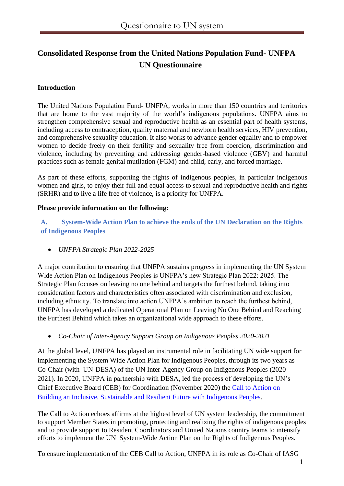# **Consolidated Response from the United Nations Population Fund- UNFPA UN Questionnaire**

## **Introduction**

The United Nations Population Fund- UNFPA, works in more than 150 countries and territories that are home to the vast majority of the world's indigenous populations. UNFPA aims to strengthen comprehensive sexual and reproductive health as an essential part of health systems, including access to contraception, quality maternal and newborn health services, HIV prevention, and comprehensive sexuality education. It also works to advance gender equality and to empower women to decide freely on their fertility and sexuality free from coercion, discrimination and violence, including by preventing and addressing gender-based violence (GBV) and harmful practices such as female genital mutilation (FGM) and child, early, and forced marriage.

As part of these efforts, supporting the rights of indigenous peoples, in particular indigenous women and girls, to enjoy their full and equal access to sexual and reproductive health and rights (SRHR) and to live a life free of violence, is a priority for UNFPA.

#### **Please provide information on the following:**

**A. System-Wide Action Plan to achieve the ends of the UN Declaration on the Rights of Indigenous Peoples**

• *UNFPA Strategic Plan 2022-2025*

A major contribution to ensuring that UNFPA sustains progress in implementing the UN System Wide Action Plan on Indigenous Peoples is UNFPA's new Strategic Plan 2022: 2025. The Strategic Plan focuses on leaving no one behind and targets the furthest behind, taking into consideration factors and characteristics often associated with discrimination and exclusion, including ethnicity. To translate into action UNFPA's ambition to reach the furthest behind, UNFPA has developed a dedicated Operational Plan on Leaving No One Behind and Reaching the Furthest Behind which takes an organizational wide approach to these efforts.

• *Co-Chair of Inter-Agency Support Group on Indigenous Peoples 2020-2021*

At the global level, UNFPA has played an instrumental role in facilitating UN wide support for implementing the System Wide Action Plan for Indigenous Peoples, through its two years as Co-Chair (with UN-DESA) of the UN Inter-Agency Group on Indigenous Peoples (2020- 2021). In 2020, UNFPA in partnership with DESA, led the process of developing the UN's Chief Executive Board (CEB) for Coordination (November 2020) the [Call to Action on](about:blank)  [Building an Inclusive, Sustainable and Resilient Future with Indigenous Peoples.](about:blank)

The Call to Action echoes affirms at the highest level of UN system leadership, the commitment to support Member States in promoting, protecting and realizing the rights of indigenous peoples and to provide support to Resident Coordinators and United Nations country teams to intensify efforts to implement the UN System-Wide Action Plan on the Rights of Indigenous Peoples.

To ensure implementation of the CEB Call to Action, UNFPA in its role as Co-Chair of IASG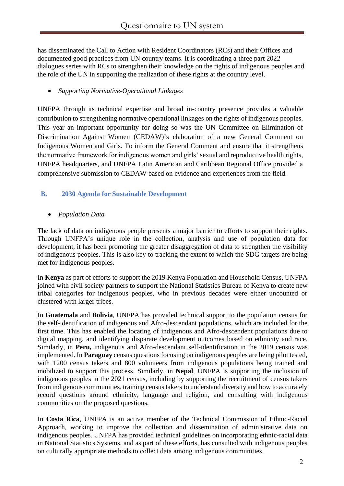has disseminated the Call to Action with Resident Coordinators (RCs) and their Offices and documented good practices from UN country teams. It is coordinating a three part 2022 dialogues series with RCs to strengthen their knowledge on the rights of indigenous peoples and the role of the UN in supporting the realization of these rights at the country level.

# • *Supporting Normative-Operational Linkages*

UNFPA through its technical expertise and broad in-country presence provides a valuable contribution to strengthening normative operational linkages on the rights of indigenous peoples. This year an important opportunity for doing so was the UN Committee on Elimination of Discrimination Against Women (CEDAW)'s elaboration of a new General Comment on Indigenous Women and Girls. To inform the General Comment and ensure that it strengthens the normative framework for indigenous women and girls' sexual and reproductive health rights, UNFPA headquarters, and UNFPA Latin American and Caribbean Regional Office provided a comprehensive submission to CEDAW based on evidence and experiences from the field.

# **B. 2030 Agenda for Sustainable Development**

## • *Population Data*

The lack of data on indigenous people presents a major barrier to efforts to support their rights. Through UNFPA's unique role in the collection, analysis and use of population data for development, it has been promoting the greater disaggregation of data to strengthen the visibility of indigenous peoples. This is also key to tracking the extent to which the SDG targets are being met for indigenous peoples.

In **Kenya** as part of efforts to support the 2019 Kenya Population and Household Census, UNFPA joined with civil society partners to support the National Statistics Bureau of Kenya to create new tribal categories for indigenous peoples, who in previous decades were either uncounted or clustered with larger tribes.

In **Guatemala** and **Bolivia**, UNFPA has provided technical support to the population census for the self-identification of indigenous and Afro-descendant populations, which are included for the first time. This has enabled the locating of indigenous and Afro-descendent populations due to digital mapping, and identifying disparate development outcomes based on ethnicity and race. Similarly, in **Peru,** indigenous and Afro-descendant self-identification in the 2019 census was implemented. In **Paraguay** census questions focusing on indigenous peoples are being pilot tested, with 1200 census takers and 800 volunteers from indigenous populations being trained and mobilized to support this process. Similarly, in **Nepal**, UNFPA is supporting the inclusion of indigenous peoples in the 2021 census, including by supporting the recruitment of census takers from indigenous communities, training census takers to understand diversity and how to accurately record questions around ethnicity, language and religion, and consulting with indigenous communities on the proposed questions.

In **Costa Rica**, UNFPA is an active member of the Technical Commission of Ethnic-Racial Approach, working to improve the collection and dissemination of administrative data on indigenous peoples. UNFPA has provided technical guidelines on incorporating ethnic-racial data in National Statistics Systems, and as part of these efforts, has consulted with indigenous peoples on culturally appropriate methods to collect data among indigenous communities.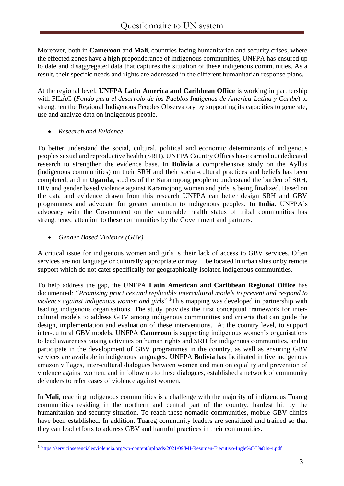Moreover, both in **Cameroon** and **Mali**, countries facing humanitarian and security crises, where the effected zones have a high preponderance of indigenous communities, UNFPA has ensured up to date and disaggregated data that captures the situation of these indigenous communities. As a result, their specific needs and rights are addressed in the different humanitarian response plans.

At the regional level, **UNFPA Latin America and Caribbean Office** is working in partnership with FILAC (*Fondo para el desarrolo de los Pueblos Indigenas de America Latina y Caribe*) to strengthen the Regional Indigenous Peoples Observatory by supporting its capacities to generate, use and analyze data on indigenous people.

• *Research and Evidence*

To better understand the social, cultural, political and economic determinants of indigenous peoples sexual and reproductive health (SRH), UNFPA Country Offices have carried out dedicated research to strengthen the evidence base. In **Bolivia** a comprehensive study on the Ayllus (indigenous communities) on their SRH and their social-cultural practices and beliefs has been completed; and in **Uganda,** studies of the Karamojong people to understand the burden of SRH, HIV and gender based violence against Karamojong women and girls is being finalized. Based on the data and evidence drawn from this research UNFPA can better design SRH and GBV programmes and advocate for greater attention to indigenous peoples. In **India**, UNFPA's advocacy with the Government on the vulnerable health status of tribal communities has strengthened attention to these communities by the Government and partners.

• *Gender Based Violence (GBV)*

A critical issue for indigenous women and girls is their lack of access to GBV services. Often services are not language or culturally appropriate or may be located in urban sites or by remote support which do not cater specifically for geographically isolated indigenous communities.

To help address the gap, the UNFPA **Latin American and Caribbean Regional Office** has documented: *"Promising practices and replicable intercultural models to prevent and respond to violence against indigenous women and girls*" <sup>1</sup>This mapping was developed in partnership with leading indigenous organisations. The study provides the first conceptual framework for intercultural models to address GBV among indigenous communities and criteria that can guide the design, implementation and evaluation of these interventions. At the country level, to support inter-cultural GBV models, UNFPA **Cameroon** is supporting indigenous women's organisations to lead awareness raising activities on human rights and SRH for indigenous communities, and to participate in the development of GBV programmes in the country, as well as ensuring GBV services are available in indigenous languages. UNFPA **Bolivia** has facilitated in five indigenous amazon villages, inter-cultural dialogues between women and men on equality and prevention of violence against women, and in follow up to these dialogues, established a network of community defenders to refer cases of violence against women.

In **Mali**, reaching indigenous communities is a challenge with the majority of indigenous Tuareg communities residing in the northern and central part of the country, hardest hit by the humanitarian and security situation. To reach these nomadic communities, mobile GBV clinics have been established. In addition, Tuareg community leaders are sensitized and trained so that they can lead efforts to address GBV and harmful practices in their communities.

<sup>&</sup>lt;sup>1</sup> [https://serviciosesencialesviolencia.org/wp-content/uploads/2021/09/MI-Resumen-Ejecutivo-Ingle%CC%81s-4.pdf](about:blank)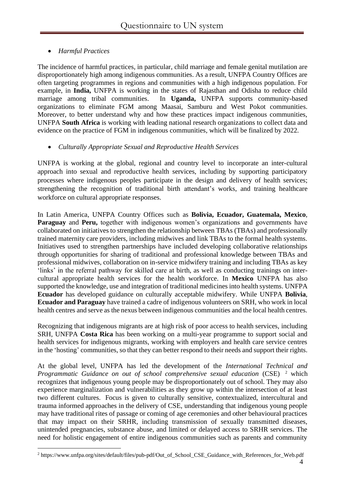# • *Harmful Practices*

The incidence of harmful practices, in particular, child marriage and female genital mutilation are disproportionately high among indigenous communities. As a result, UNFPA Country Offices are often targeting programmes in regions and communities with a high indigenous population. For example, in **India,** UNFPA is working in the states of Rajasthan and Odisha to reduce child marriage among tribal communities. In **Uganda,** UNFPA supports community-based organizations to eliminate FGM among Maasai, Samburu and West Pokot communities. Moreover, to better understand why and how these practices impact indigenous communities, UNFPA **South Africa** is working with leading national research organizations to collect data and evidence on the practice of FGM in indigenous communities, which will be finalized by 2022.

## • *Culturally Appropriate Sexual and Reproductive Health Services*

UNFPA is working at the global, regional and country level to incorporate an inter-cultural approach into sexual and reproductive health services, including by supporting participatory processes where indigenous peoples participate in the design and delivery of health services; strengthening the recognition of traditional birth attendant's works, and training healthcare workforce on cultural appropriate responses.

In Latin America, UNFPA Country Offices such as **Bolivia, Ecuador, Guatemala, Mexico**, **Paraguay** and **Peru,** together with indigenous women's organizations and governments have collaborated on initiatives to strengthen the relationship between TBAs (TBAs) and professionally trained maternity care providers, including midwives and link TBAs to the formal health systems. Initiatives used to strengthen partnerships have included developing collaborative relationships through opportunities for sharing of traditional and professional knowledge between TBAs and professional midwives, collaboration on in-service midwifery training and including TBAs as key 'links' in the referral pathway for skilled care at birth, as well as conducting trainings on intercultural appropriate health services for the health workforce. In **Mexico** UNFPA has also supported the knowledge, use and integration of traditional medicines into health systems. UNFPA **Ecuador** has developed guidance on culturally acceptable midwifery. While UNFPA **Bolivia**, **Ecuador and Paraguay** have trained a cadre of indigenous volunteers on SRH, who work in local health centres and serve as the nexus between indigenous communities and the local health centres.

Recognizing that indigenous migrants are at high risk of poor access to health services, including SRH, UNFPA **Costa Rica** has been working on a multi-year programme to support social and health services for indigenous migrants, working with employers and health care service centres in the 'hosting' communities, so that they can better respond to their needs and support their rights.

At the global level, UNFPA has led the development of the *International Technical and Programmatic Guidance on out of school comprehensive sexual education* (CSE) <sup>2</sup> which recognizes that indigenous young people may be disproportionately out of school. They may also experience marginalization and vulnerabilities as they grow up within the intersection of at least two different cultures. Focus is given to culturally sensitive, contextualized, intercultural and trauma informed approaches in the delivery of CSE, understanding that indigenous young people may have traditional rites of passage or coming of age ceremonies and other behavioural practices that may impact on their SRHR, including transmission of sexually transmitted diseases, unintended pregnancies, substance abuse, and limited or delayed access to SRHR services. The need for holistic engagement of entire indigenous communities such as parents and community

<sup>2</sup> [https://www.unfpa.org/sites/default/files/pub-pdf/Out\\_of\\_School\\_CSE\\_Guidance\\_with\\_References\\_for\\_Web.pdf](https://www.unfpa.org/sites/default/files/pub-pdf/Out_of_School_CSE_Guidance_with_References_for_Web.pdf)